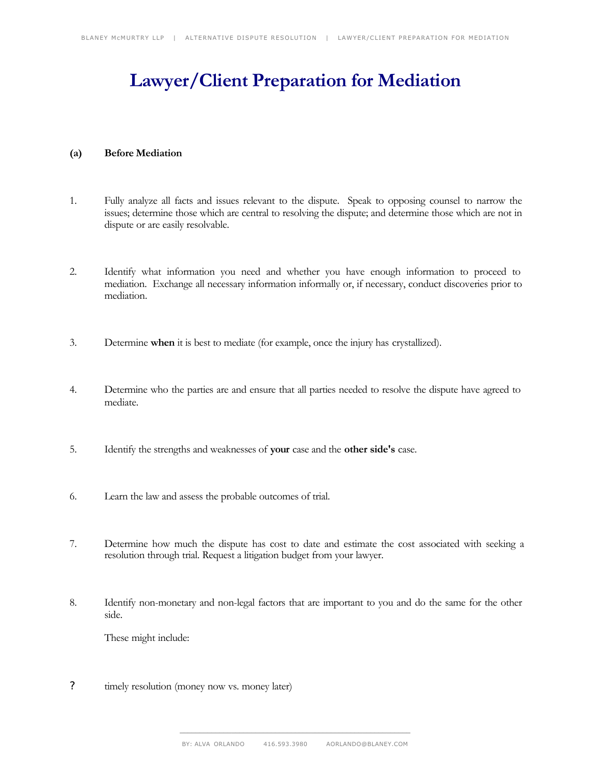# **Lawyer/Client Preparation for Mediation**

## **(a) Before Mediation**

- 1. Fully analyze all facts and issues relevant to the dispute. Speak to opposing counsel to narrow the issues; determine those which are central to resolving the dispute; and determine those which are not in dispute or are easily resolvable.
- 2. Identify what information you need and whether you have enough information to proceed to mediation. Exchange all necessary information informally or, if necessary, conduct discoveries prior to mediation.
- 3. Determine **when** it is best to mediate (for example, once the injury has crystallized).
- 4. Determine who the parties are and ensure that all parties needed to resolve the dispute have agreed to mediate.
- 5. Identify the strengths and weaknesses of **your** case and the **other side's** case.
- 6. Learn the law and assess the probable outcomes of trial.
- 7. Determine how much the dispute has cost to date and estimate the cost associated with seeking a resolution through trial. Request a litigation budget from your lawyer.
- 8. Identify non-monetary and non-legal factors that are important to you and do the same for the other side.

These might include:

? timely resolution (money now vs. money later)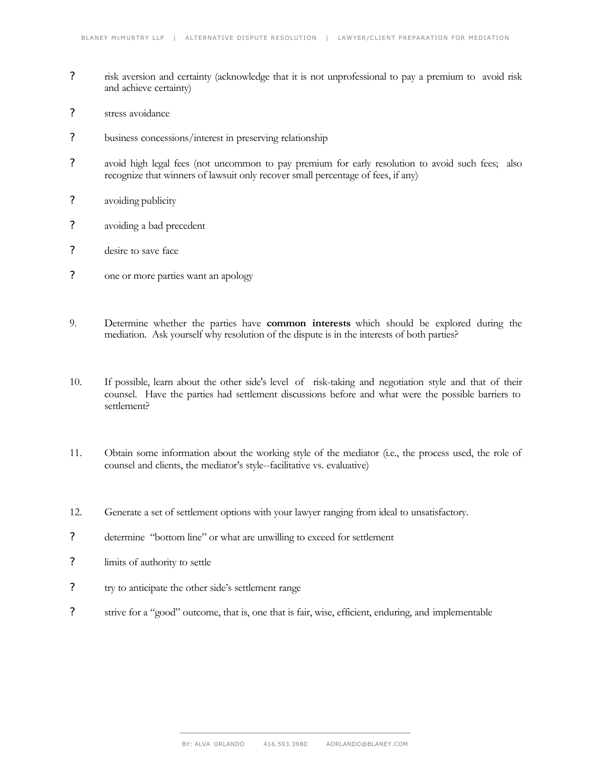- ? risk aversion and certainty (acknowledge that it is not unprofessional to pay a premium to avoid risk and achieve certainty)
- ? stress avoidance
- ? business concessions/interest in preserving relationship
- ? avoid high legal fees (not uncommon to pay premium for early resolution to avoid such fees; also recognize that winners of lawsuit only recover small percentage of fees, if any)
- ? avoiding publicity
- ? avoiding a bad precedent
- ? desire to save face
- ? one or more parties want an apology
- 9. Determine whether the parties have **common interests** which should be explored during the mediation. Ask yourself why resolution of the dispute is in the interests of both parties?
- 10. If possible, learn about the other side's level of risk-taking and negotiation style and that of their counsel. Have the parties had settlement discussions before and what were the possible barriers to settlement?
- 11. Obtain some information about the working style of the mediator (i.e., the process used, the role of counsel and clients, the mediator's style--facilitative vs. evaluative)
- 12. Generate a set of settlement options with your lawyer ranging from ideal to unsatisfactory.
- ? determine "bottom line" or what are unwilling to exceed for settlement
- ? limits of authority to settle
- ? try to anticipate the other side's settlement range
- ? strive for a "good" outcome, that is, one that is fair, wise, efficient, enduring, and implementable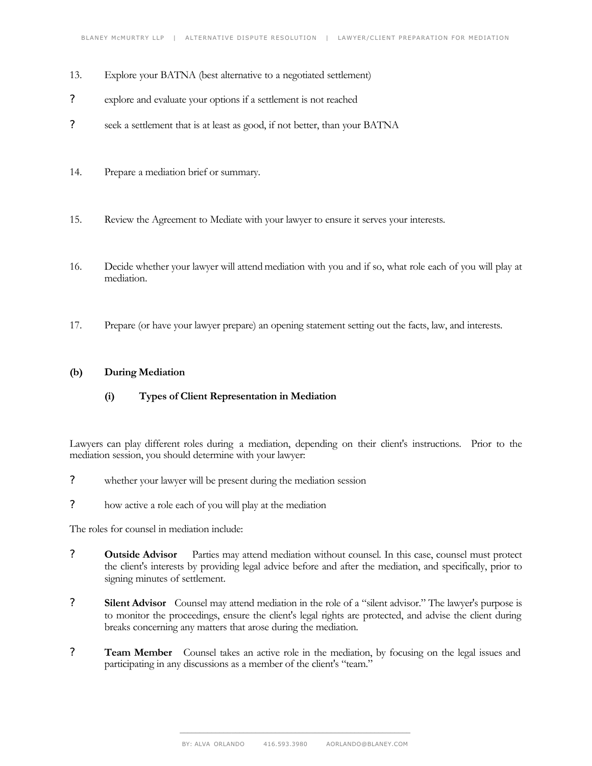- 13. Explore your BATNA (best alternative to a negotiated settlement)
- ? explore and evaluate your options if a settlement is not reached
- ? seek a settlement that is at least as good, if not better, than your BATNA
- 14. Prepare a mediation brief or summary.
- 15. Review the Agreement to Mediate with your lawyer to ensure it serves your interests.
- 16. Decide whether your lawyer will attend mediation with you and if so, what role each of you will play at mediation.
- 17. Prepare (or have your lawyer prepare) an opening statement setting out the facts, law, and interests.

## **(b) During Mediation**

**(i) Types of Client Representation in Mediation**

Lawyers can play different roles during a mediation, depending on their client's instructions. Prior to the mediation session, you should determine with your lawyer:

- ? whether your lawyer will be present during the mediation session
- ? how active a role each of you will play at the mediation

The roles for counsel in mediation include:

- ? **Outside Advisor** Parties may attend mediation without counsel. In this case, counsel must protect the client's interests by providing legal advice before and after the mediation, and specifically, prior to signing minutes of settlement.
- ? **Silent Advisor** Counsel may attend mediation in the role of a "silent advisor." The lawyer's purpose is to monitor the proceedings, ensure the client's legal rights are protected, and advise the client during breaks concerning any matters that arose during the mediation.
- ? **Team Member** Counsel takes an active role in the mediation, by focusing on the legal issues and participating in any discussions as a member of the client's "team."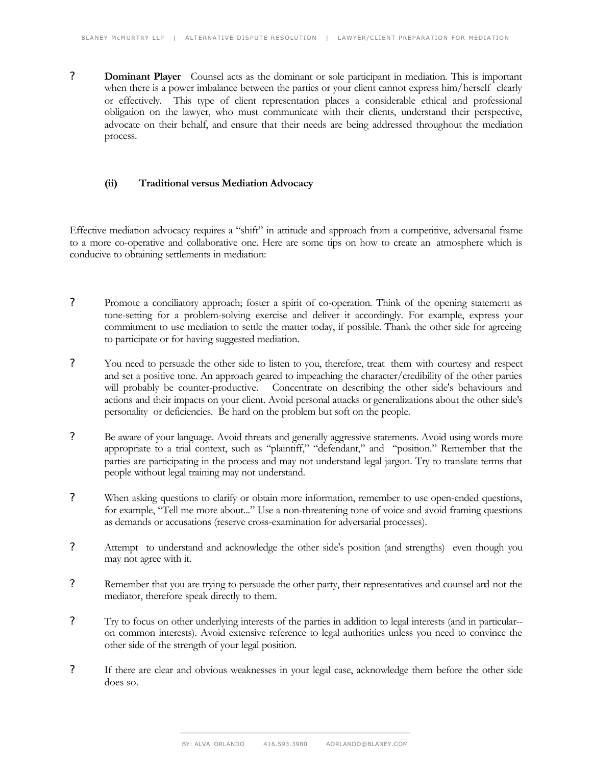? **Dominant Player** Counsel acts as the dominant or sole participant in mediation. This is important when there is a power imbalance between the parties or your client cannot express him/herself clearly or effectively. This type of client representation places a considerable ethical and professional obligation on the lawyer, who must communicate with their clients, understand their perspective, advocate on their behalf, and ensure that their needs are being addressed throughout the mediation process.

#### **(ii) Traditional versus Mediation Advocacy**

Effective mediation advocacy requires a "shift" in attitude and approach from a competitive, adversarial frame to a more co-operative and collaborative one. Here are some tips on how to create an atmosphere which is conducive to obtaining settlements in mediation:

- ? Promote a conciliatory approach; foster a spirit of co-operation. Think of the opening statement as tone-setting for a problem-solving exercise and deliver it accordingly. For example, express your commitment to use mediation to settle the matter today, if possible. Thank the other side for agreeing to participate or for having suggested mediation.
- ? You need to persuade the other side to listen to you, therefore, treat them with courtesy and respect and set a positive tone. An approach geared to impeaching the character/credibility of the other parties will probably be counter-productive. Concentrate on describing the other side's behaviours and actions and their impacts on your client. Avoid personal attacks or generalizations about the other side's personality or deficiencies. Be hard on the problem but soft on the people.
- ? Be aware of your language. Avoid threats and generally aggressive statements. Avoid using words more appropriate to a trial context, such as "plaintiff," "defendant," and "position." Remember that the parties are participating in the process and may not understand legal jargon. Try to translate terms that people without legal training may not understand.
- ? When asking questions to clarify or obtain more information, remember to use open-ended questions, for example, "Tell me more about..." Use a non-threatening tone of voice and avoid framing questions as demands or accusations (reserve cross-examination for adversarial processes).
- ? Attempt to understand and acknowledge the other side's position (and strengths) even though you may not agree with it.
- ? Remember that you are trying to persuade the other party, their representatives and counsel and not the mediator, therefore speak directly to them.
- ? Try to focus on other underlying interests of the parties in addition to legal interests (and in particular- on common interests). Avoid extensive reference to legal authorities unless you need to convince the other side of the strength of your legal position.
- ? If there are clear and obvious weaknesses in your legal case, acknowledge them before the other side does so.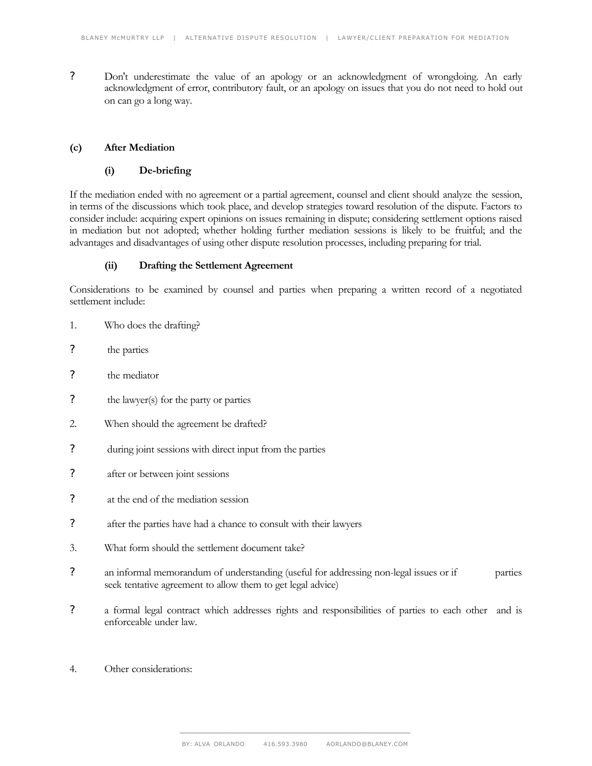? Don't underestimate the value of an apology or an acknowledgment of wrongdoing. An early acknowledgment of error, contributory fault, or an apology on issues that you do not need to hold out on can go a long way.

#### **(c) After Mediation**

# **(i) De-briefing**

If the mediation ended with no agreement or a partial agreement, counsel and client should analyze the session, in terms of the discussions which took place, and develop strategies toward resolution of the dispute. Factors to consider include: acquiring expert opinions on issues remaining in dispute; considering settlement options raised in mediation but not adopted; whether holding further mediation sessions is likely to be fruitful; and the advantages and disadvantages of using other dispute resolution processes, including preparing for trial.

# **(ii) Drafting the Settlement Agreement**

Considerations to be examined by counsel and parties when preparing a written record of a negotiated settlement include:

- 1. Who does the drafting?
- ? the parties
- ? the mediator
- ? the lawyer(s) for the party or parties
- 2. When should the agreement be drafted?
- ? during joint sessions with direct input from the parties
- ? after or between joint sessions
- ? at the end of the mediation session
- ? after the parties have had a chance to consult with their lawyers
- 3. What form should the settlement document take?
- ? an informal memorandum of understanding (useful for addressing non-legal issues or if parties seek tentative agreement to allow them to get legal advice)
- ? a formal legal contract which addresses rights and responsibilities of parties to each other and is enforceable under law.
- 4. Other considerations: